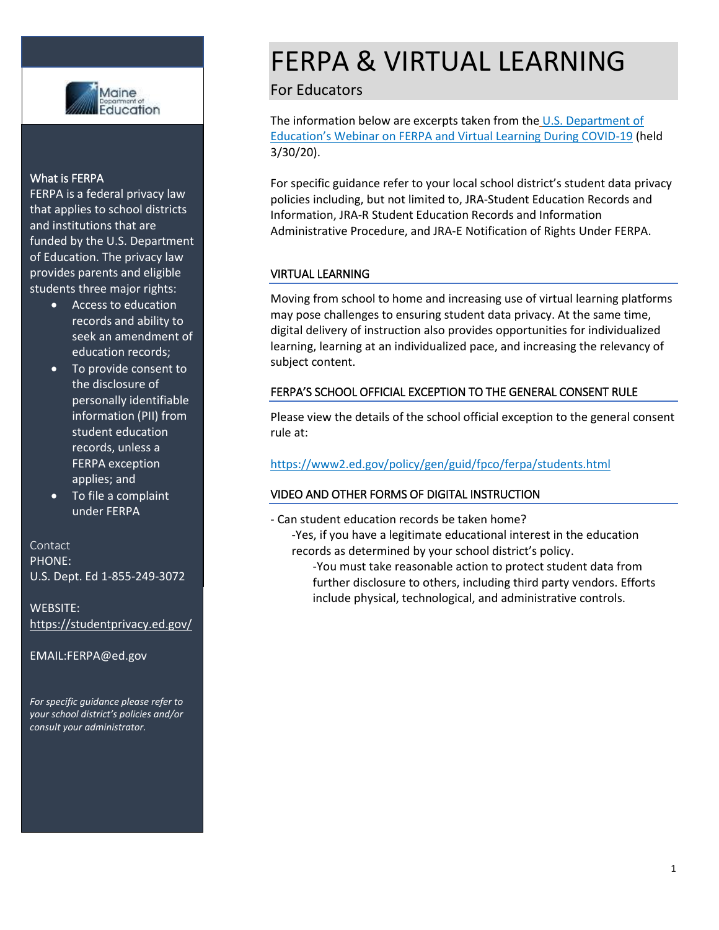

#### What is FERPA

FERPA is a federal privacy law that applies to school districts and institutions that are funded by the U.S. Department of Education. The privacy law provides parents and eligible students three major rights:

- Access to education records and ability to seek an amendment of education records;
- To provide consent to the disclosure of personally identifiable information (PII) from student education records, unless a FERPA exception applies; and
- To file a complaint under FERPA

#### Contact PHONE:

U.S. Dept. Ed 1-855-249-3072

WEBSITE: <https://studentprivacy.ed.gov/>

EMAIL:FERPA@ed.gov

*For specific guidance please refer to your school district's policies and/or consult your administrator.*

## FERPA & VIRTUAL LEARNING

### For Educators

The information below are excerpts taken from the [U.S. Department of](https://studentprivacy.ed.gov/training/ferpa-and-virtual-learning-during-covid-19-webinar-recording)  [Education's Webinar on FERPA and Virtual Learning During COVID](https://studentprivacy.ed.gov/training/ferpa-and-virtual-learning-during-covid-19-webinar-recording)-19 (held 3/30/20).

For specific guidance refer to your local school district's student data privacy policies including, but not limited to, JRA-Student Education Records and Information, JRA-R Student Education Records and Information Administrative Procedure, and JRA-E Notification of Rights Under FERPA.

#### VIRTUAL LEARNING

Moving from school to home and increasing use of virtual learning platforms may pose challenges to ensuring student data privacy. At the same time, digital delivery of instruction also provides opportunities for individualized learning, learning at an individualized pace, and increasing the relevancy of subject content.

#### FERPA'S SCHOOL OFFICIAL EXCEPTION TO THE GENERAL CONSENT RULE

Please view the details of the school official exception to the general consent rule at:

#### <https://www2.ed.gov/policy/gen/guid/fpco/ferpa/students.html>

#### VIDEO AND OTHER FORMS OF DIGITAL INSTRUCTION

- Can student education records be taken home?
	- -Yes, if you have a legitimate educational interest in the education records as determined by your school district's policy.
		- -You must take reasonable action to protect student data from further disclosure to others, including third party vendors. Efforts include physical, technological, and administrative controls.